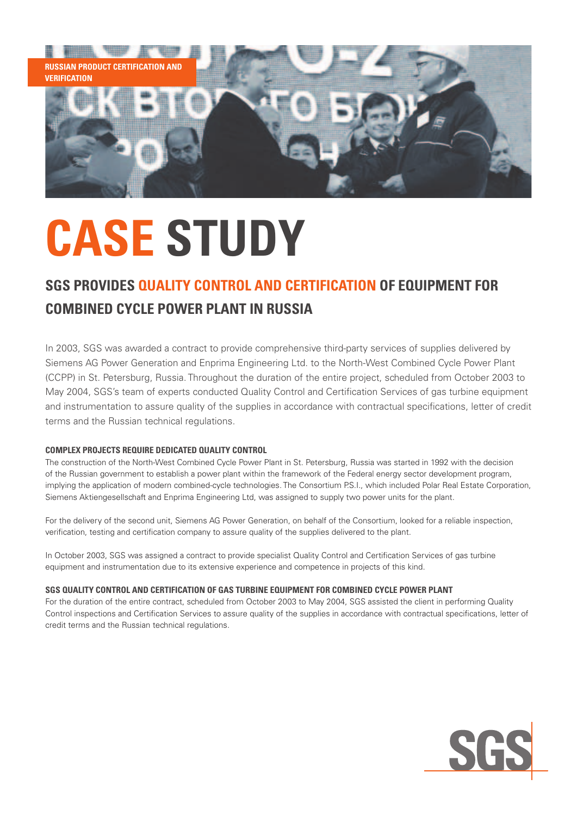

# **CASE STUDY**

### **SGS Provides Quality Control and Certification of Equipment for Combined Cycle Power Plant in Russia**

In 2003, SGS was awarded a contract to provide comprehensive third-party services of supplies delivered by Siemens AG Power Generation and Enprima Engineering Ltd. to the North-West Combined Cycle Power Plant (CCPP) in St. Petersburg, Russia. Throughout the duration of the entire project, scheduled from October 2003 to May 2004, SGS's team of experts conducted Quality Control and Certification Services of gas turbine equipment and instrumentation to assure quality of the supplies in accordance with contractual specifications, letter of credit terms and the Russian technical regulations.

#### **Complex Projects Require Dedicated Quality Control**

The construction of the North-West Combined Cycle Power Plant in St. Petersburg, Russia was started in 1992 with the decision of the Russian government to establish a power plant within the framework of the Federal energy sector development program, implying the application of modern combined-cycle technologies. The Consortium P.S.I., which included Polar Real Estate Corporation, Siemens Aktiengesellschaft and Enprima Engineering Ltd, was assigned to supply two power units for the plant.

For the delivery of the second unit, Siemens AG Power Generation, on behalf of the Consortium, looked for a reliable inspection, verification, testing and certification company to assure quality of the supplies delivered to the plant.

In October 2003, SGS was assigned a contract to provide specialist Quality Control and Certification Services of gas turbine equipment and instrumentation due to its extensive experience and competence in projects of this kind.

#### **SGS Quality Control and Certification of Gas Turbine Equipment for Combined Cycle Power Plant**

For the duration of the entire contract, scheduled from October 2003 to May 2004, SGS assisted the client in performing Quality Control inspections and Certification Services to assure quality of the supplies in accordance with contractual specifications, letter of credit terms and the Russian technical regulations.